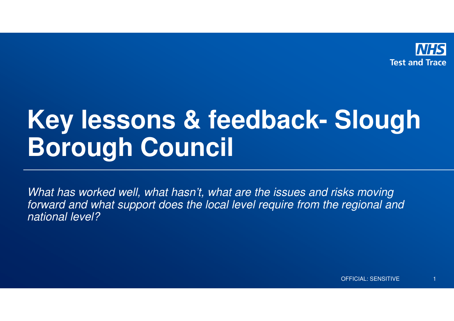

# **Key lessons & feedback- Slough Borough Council**

What has worked well, what hasn't, what are the issues and risks moving forward and what support does the local level require from the regional and national level?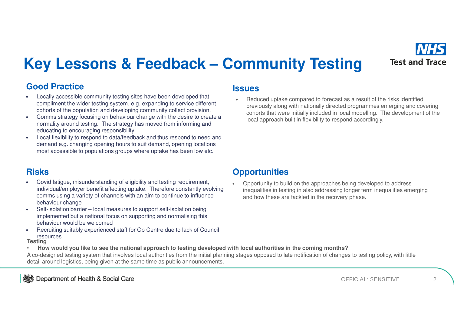

## **Key Lessons & Feedback – Community Testing**

### **Good Practice**

- • Locally accessible community testing sites have been developed that compliment the wider testing system, e.g. expanding to service different cohorts of the population and developing community collect provision.
- Comms strategy focusing on behaviour change with the desire to create a •normality around testing. The strategy has moved from informing and educating to encouraging responsibility.
- Local flexibility to respond to data/feedback and thus respond to need and •demand e.g. changing opening hours to suit demand, opening locations most accessible to populations groups where uptake has been low etc.

### **Risks**

- • Covid fatigue, misunderstanding of eligibility and testing requirement, individual/employer benefit affecting uptake. Therefore constantly evolving comms using a variety of channels with an aim to continue to influence behaviour change
- Self-isolation barrier local measures to support self-isolation being •implemented but a national focus on supporting and normalising this behaviour would be welcomed
- Recruiting suitably experienced staff for Op Centre due to lack of Council •resources

#### **Testing**

 **How would you like to see the national approach to testing developed with local authorities in the coming months?**  •

A co-designed testing system that involves local authorities from the initial planning stages opposed to late notification of changes to testing policy, with little detail around logistics, being given at the same time as public announcements.

#### **Issues**

•

 Reduced uptake compared to forecast as a result of the risks identified previously along with nationally directed programmes emerging and covering cohorts that were initially included in local modelling. The development of the local approach built in flexibility to respond accordingly.

### **Opportunities**

• Opportunity to build on the approaches being developed to address inequalities in testing in also addressing longer term inequalities emerging and how these are tackled in the recovery phase.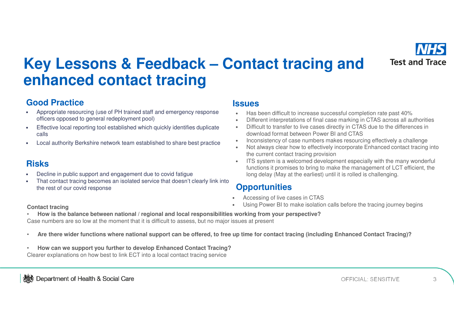

## **Key Lessons & Feedback – Contact tracing and enhanced contact tracing**

### **Good Practice**

- • Appropriate resourcing (use of PH trained staff and emergency response officers opposed to general redeployment pool)**Issues**
- • Effective local reporting tool established which quickly identifies duplicate calls
- •Local authority Berkshire network team established to share best practice

### **Risks**

- •Decline in public support and engagement due to covid fatigue
- That contact tracing becomes an isolated service that doesn't clearly link into •the rest of our covid response

- •Has been difficult to increase successful completion rate past 40%
- Different interpretations of final case marking in CTAS across all authorities•
- • Difficult to transfer to live cases directly in CTAS due to the differences in download format between Power BI and CTAS
- Inconsistency of case numbers makes resourcing effectively a challenge •
- Not always clear how to effectively incorporate Enhanced contact tracing into •the current contact tracing provision
- ITS system is a welcomed development especially with the many wonderful functions it promises to bring to make the management of LCT efficient, the long delay (May at the earliest) until it is rolled is challenging.

### **Opportunities**

- •Accessing of live cases in CTAS
- Using Power BI to make isolation calls before the tracing journey begins•

#### **Contact tracing**

 **How is the balance between national / regional and local responsibilities working from your perspective?**•Case numbers are so low at the moment that it is difficult to assess, but no major issues at present

- •**Are there wider functions where national support can be offered, to free up time for contact tracing (including Enhanced Contact Tracing)?**
- • **How can we support you further to develop Enhanced Contact Tracing?**Clearer explanations on how best to link ECT into a local contact tracing service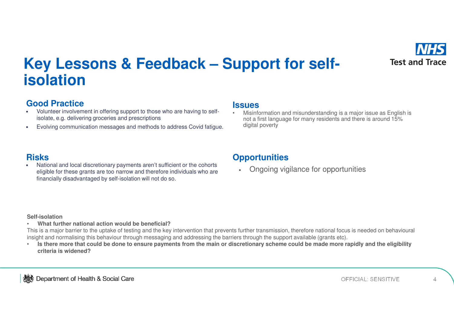

## Key Lessons & Feedback – Support for self**isolation**

#### **Good Practice**

- Good Practice<br>• Volunteer involvement in offering support to those who are having to self-<br>Misinfo isolate, e.g. delivering groceries and prescriptions
- •Evolving communication messages and methods to address Covid fatigue.

 Misinformation and misunderstanding is a major issue as English is •not a first language for many residents and there is around 15% digital poverty

#### **Risks**

•**Risks**<br>• National and local discretionary payments aren't sufficient or the cohorts **Opportunities** eligible for these grants are too narrow and therefore individuals who are financially disadvantaged by self-isolation will not do so.

•Ongoing vigilance for opportunities

#### **Self-isolation**

 **What further national action would be beneficial?**  •

This is a major barrier to the uptake of testing and the key intervention that prevents further transmission, therefore national focus is needed on behavioural insight and normalising this behaviour through messaging and addressing the barriers through the support available (grants etc).

 **Is there more that could be done to ensure payments from the main or discretionary scheme could be made more rapidly and the eligibility**  •**criteria is widened?**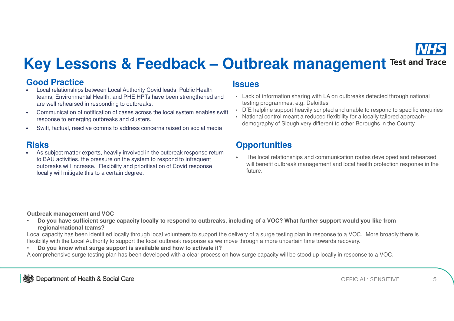

## **Key Lessons & Feedback – Outbreak management Test and Trace**

#### **Good Practice**

- •GOOG P**ractice**<br>• Local relationships between Local Authority Covid leads, Public Health **ISSUES** teams, Environmental Health, and PHE HPTs have been strengthened and are well rehearsed in responding to outbreaks.
- • Communication of notification of cases across the local system enables swift response to emerging outbreaks and clusters.
- •Swift, factual, reactive comms to address concerns raised on social media

#### **Risks**

•**Risks**<br>• As subject matter experts, heavily involved in the outbreak response return The local relations to BAU activities, the pressure on the system to respond to infrequent outbreaks will increase. Flexibility and prioritisation of Covid response locally will mitigate this to a certain degree.

- Lack of information sharing with LA on outbreaks detected through national testing programmes, e.g. Deloittes
- DfE helpline support heavily scripted and unable to respond to specific enquiries
- National control meant a reduced flexibility for a locally tailored approachdemography of Slough very different to other Boroughs in the County

• The local relationships and communication routes developed and rehearsed will benefit outbreak management and local health protection response in the future.

**Outbreak management and VOC**

 **Do you have sufficient surge capacity locally to respond to outbreaks, including of a VOC? What further support would you like from**  •**regional/national teams?** 

Local capacity has been identified locally through local volunteers to support the delivery of a surge testing plan in response to a VOC. More broadly there is flexibility with the Local Authority to support the local outbreak response as we move through a more uncertain time towards recovery.

•**Do you know what surge support is available and how to activate it?** 

A comprehensive surge testing plan has been developed with a clear process on how surge capacity will be stood up locally in response to a VOC.

5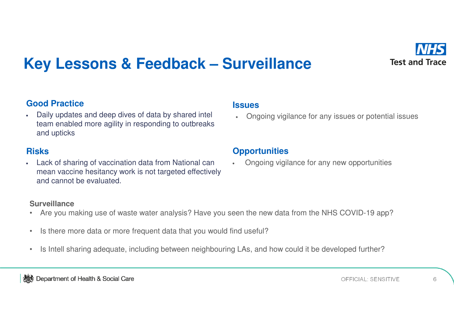

## **Key Lessons & Feedback – Surveillance**

#### **Good Practice**

• Daily updates and deep dives of data by shared intel team enabled more agility in responding to outbreaks and upticks

#### **Risks**

• Lack of sharing of vaccination data from National can mean vaccine hesitancy work is not targeted effectively and cannot be evaluated.

### **Issues**

•Ongoing vigilance for any issues or potential issues

### **Opportunities**

•Ongoing vigilance for any new opportunities

#### **Surveillance**

- Are you making use of waste water analysis? Have you seen the new data from the NHS COVID-19 app?•
- •Is there more data or more frequent data that you would find useful?
- •Is Intell sharing adequate, including between neighbouring LAs, and how could it be developed further?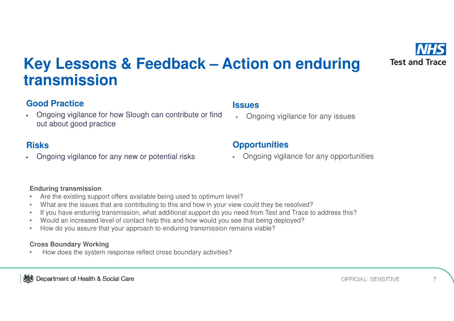

## **Key Lessons & Feedback – Action on enduring transmission**

### **Good Practice**

• Ongoing vigilance for how Slough can contribute or find out about good practice

#### **Risks**

•Ongoing vigilance for any new or potential risks

### **Issues**

•Ongoing vigilance for any issues

### **Opportunities**

• Ongoing vigilance for any opportunities

#### **Enduring transmission**

- Are the existing support offers available being used to optimum level?•
- What are the issues that are contributing to this and how in your view could they be resolved?•
- If you have enduring transmission, what additional support do you need from Test and Trace to address this?•
- •Would an increased level of contact help this and how would you see that being deployed?
- •How do you assure that your approach to enduring transmission remains viable?

#### **Cross Boundary Working**

 How does the system response reflect cross boundary activities?•

**Social Care** Separtment of Health & Social Care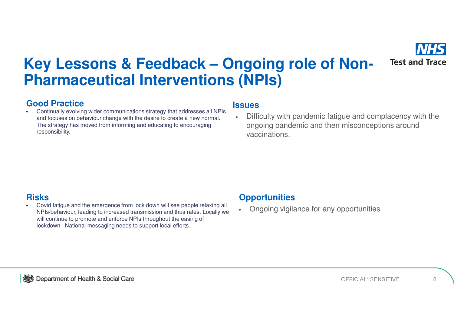

## Key Lessons & Feedback – Ongoing role of Non-**Pharmaceutical Interventions (NPIs)**

#### **Good Practice**

•**Good Practice**<br>• Continually evolving wider communications strategy that addresses all NPIs **SUCS** and focuses on behaviour change with the desire to create a new normal. The strategy has moved from informing and educating to encouraging responsibility.

• Difficulty with pandemic fatigue and complacency with the ongoing pandemic and then misconceptions around vaccinations.

### **Risks**

•**Risks**<br>• Covid fatigue and the emergence from lock down will see people relaxing all **Opportunities** NPIs/behaviour, leading to increased transmission and thus rates. Locally we will continue to promote and enforce NPIs throughout the easing of lockdown. National messaging needs to support local efforts.

•Ongoing vigilance for any opportunities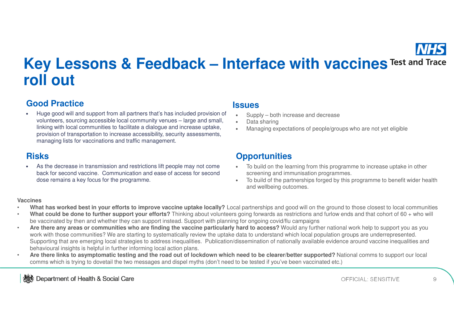

## **Key Lessons & Feedback – Interface with vaccines Test and Trace roll out**

#### **Good Practice**

• Huge good will and support from all partners that's has included provision of volunteers, sourcing accessible local community venues – large and small, linking with local communities to facilitate a dialogue and increase uptake, provision of transportation to increase accessibility, security assessments, managing lists for vaccinations and traffic management.**Issues**

### **Risks**

• As the decrease in transmission and restrictions lift people may not come back for second vaccine. Communication and ease of access for second dose remains a key focus for the programme.

- •Supply – both increase and decrease
- •Data sharing
- Managing expectations of people/groups who are not yet eligible •

### **Opportunities**

- • To build on the learning from this programme to increase uptake in other screening and immunisation programmes.
- To build of the partnerships forged by this programme to benefit wider health •and wellbeing outcomes.

#### **Vaccines**

- **What has worked best in your efforts to improve vaccine uptake locally?** Local partnerships and good will on the ground to those closest to local communities •
- • **What could be done to further support your efforts?** Thinking about volunteers going forwards as restrictions and furlow ends and that cohort of 60 + who will be vaccinated by then and whether they can support instead. Support with planning for ongoing covid/flu campaigns
- **Are there any areas or communities who are finding the vaccine particularly hard to access?** Would any further national work help to support you as you •work with those communities? We are starting to systematically review the uptake data to understand which local population groups are underrepresented. Supporting that are emerging local strategies to address inequalities. Publication/dissemination of nationally available evidence around vaccine inequalities and behavioural insights is helpful in further informing local action plans.
- **Are there links to asymptomatic testing and the road out of lockdown which need to be clearer/better supported?** National comms to support our local •comms which is trying to dovetail the two messages and dispel myths (don't need to be tested if you've been vaccinated etc.)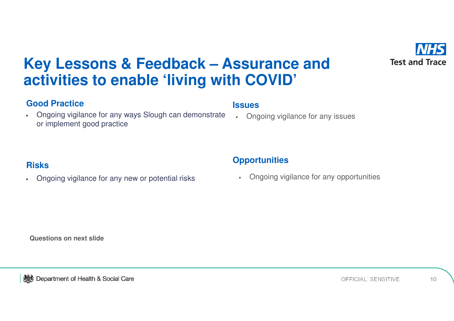

## **Key Lessons & Feedback – Assurance and activities to enable 'living with COVID'**

#### **Good Practice**

• Ongoing vigilance for any ways Slough can demonstrate or implement good practice

#### **Issues**

•Ongoing vigilance for any issues

#### **Risks**

•Ongoing vigilance for any new or potential risks

#### **Opportunities**

• Ongoing vigilance for any opportunities

**Questions on next slide**